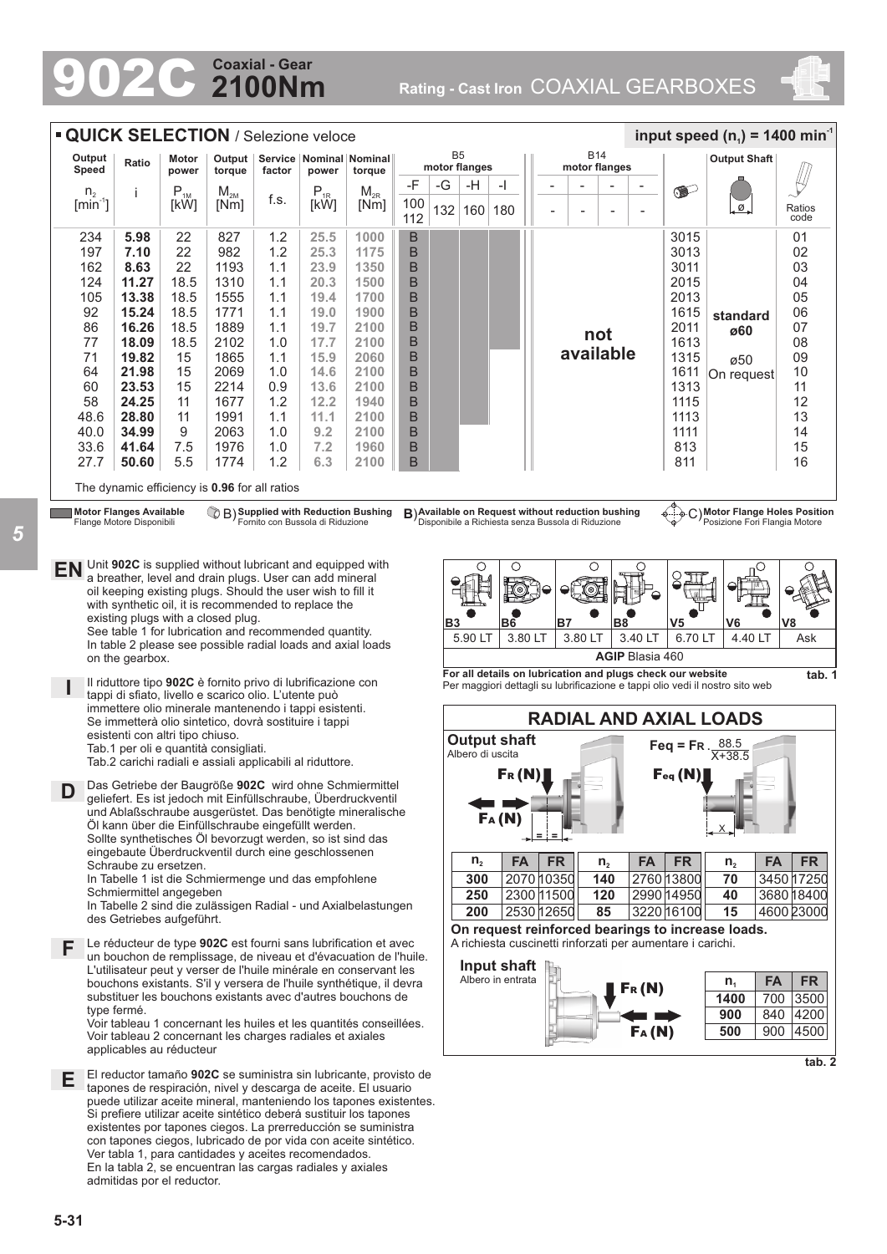# **2100Nm Coaxial - Gear**

902C **Rating - Cast Iron** COAXIAL GEARBOXES





*5*